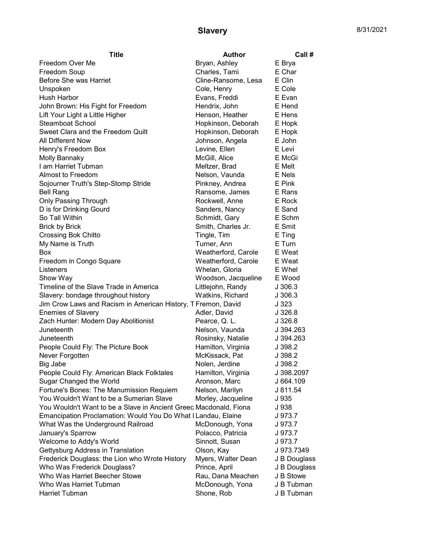## **Slavery** 8/31/2021

| Freedom Over Me<br>Bryan, Ashley<br>E Brya<br>Charles, Tami<br>Freedom Soup<br>E Char |  |
|---------------------------------------------------------------------------------------|--|
|                                                                                       |  |
|                                                                                       |  |
| Before She was Harriet<br>E Clin<br>Cline-Ransome, Lesa                               |  |
| Cole, Henry<br>E Cole<br>Unspoken                                                     |  |
| <b>Hush Harbor</b><br>Evans, Freddi<br>E Evan                                         |  |
| Hendrix, John<br>John Brown: His Fight for Freedom<br>E Hend                          |  |
| Lift Your Light a Little Higher<br>Henson, Heather<br>E Hens                          |  |
| <b>Steamboat School</b><br>Hopkinson, Deborah<br>E Hopk                               |  |
| Sweet Clara and the Freedom Quilt<br>Hopkinson, Deborah<br>E Hopk                     |  |
| <b>All Different Now</b><br>Johnson, Angela<br>E John                                 |  |
| Levine, Ellen<br>E Levi<br>Henry's Freedom Box                                        |  |
| McGill, Alice<br>Molly Bannaky<br>E McGi                                              |  |
| I am Harriet Tubman<br>Meltzer, Brad<br>E Melt                                        |  |
| Almost to Freedom<br>Nelson, Vaunda<br>E Nels                                         |  |
| Sojourner Truth's Step-Stomp Stride<br>Pinkney, Andrea<br>E Pink                      |  |
| Ransome, James<br><b>Bell Rang</b><br>E Rans                                          |  |
| Only Passing Through<br>Rockwell, Anne<br>E Rock                                      |  |
| D is for Drinking Gourd<br>Sanders, Nancy<br>E Sand                                   |  |
| So Tall Within<br>Schmidt, Gary<br>E Schm                                             |  |
| Smith, Charles Jr.<br>E Smit<br><b>Brick by Brick</b>                                 |  |
| E Ting<br><b>Crossing Bok Chitto</b><br>Tingle, Tim                                   |  |
| My Name is Truth<br>Turner, Ann<br>E Turn                                             |  |
| Weatherford, Carole<br>E Weat<br><b>Box</b>                                           |  |
| Freedom in Congo Square<br>Weatherford, Carole<br>E Weat                              |  |
| Whelan, Gloria<br>E Whel<br>Listeners                                                 |  |
| Woodson, Jacqueline<br>E Wood<br>Show Way                                             |  |
| Timeline of the Slave Trade in America<br>Littlejohn, Randy<br>J 306.3                |  |
| Slavery: bondage throughout history<br>Watkins, Richard<br>J 306.3                    |  |
| Jim Crow Laws and Racism in American History, T Fremon, David<br>J 323                |  |
| <b>Enemies of Slavery</b><br>Adler, David<br>J 326.8                                  |  |
| Zach Hunter: Modern Day Abolitionist<br>J 326.8<br>Pearce, Q.L.                       |  |
| Juneteenth<br>Nelson, Vaunda<br>J 394.263                                             |  |
| Rosinsky, Natalie<br>Juneteenth<br>J 394.263                                          |  |
| Hamilton, Virginia<br>J 398.2<br>People Could Fly: The Picture Book                   |  |
| Never Forgotten<br>McKissack, Pat<br>J 398.2                                          |  |
| J 398.2<br>Big Jabe<br>Nolen, Jerdine                                                 |  |
| Hamilton, Virginia<br>People Could Fly: American Black Folktales<br>J 398.2097        |  |
| Sugar Changed the World<br>Aronson, Marc<br>J 664.109                                 |  |
| Fortune's Bones: The Manumission Requiem<br>Nelson, Marilyn<br>J 811.54               |  |
| You Wouldn't Want to be a Sumerian Slave<br>Morley, Jacqueline<br>J 935               |  |
| You Wouldn't Want to be a Slave in Ancient Greec Macdonald, Fiona<br>J 938            |  |
| Emancipation Proclamation: Would You Do What I Landau, Elaine<br>J 973.7              |  |
| What Was the Underground Railroad<br>McDonough, Yona<br>J 973.7                       |  |
| January's Sparrow<br>Polacco, Patricia<br>J 973.7                                     |  |
| Welcome to Addy's World<br>Sinnott, Susan<br>J 973.7                                  |  |
| Gettysburg Address in Translation<br>J 973.7349<br>Olson, Kay                         |  |
| Frederick Douglass: the Lion who Wrote History<br>Myers, Walter Dean<br>J B Douglass  |  |
| Who Was Frederick Douglass?<br>Prince, April<br>J B Douglass                          |  |
| Who Was Harriet Beecher Stowe<br>Rau, Dana Meachen<br>J B Stowe                       |  |
| Who Was Harriet Tubman<br>McDonough, Yona<br>J B Tubman                               |  |
| Harriet Tubman<br>Shone, Rob<br>J B Tubman                                            |  |